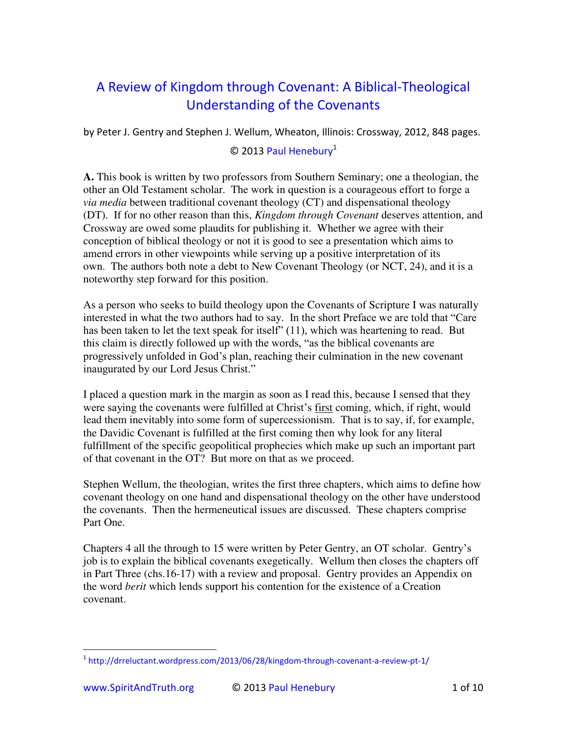## A Review of Kingdom through Covenant: A Biblical-Theological Understanding of the Covenants

by Peter J. Gentry and Stephen J. Wellum, Wheaton, Illinois: Crossway, 2012, 848 pages.

## © 2013 [Paul Henebury](http://www.spiritandtruth.org/id/ph.htm)<sup>1</sup>

**A.** This book is written by two professors from Southern Seminary; one a theologian, the other an Old Testament scholar. The work in question is a courageous effort to forge a *via media* between traditional covenant theology (CT) and dispensational theology (DT). If for no other reason than this, *Kingdom through Covenant* deserves attention, and Crossway are owed some plaudits for publishing it. Whether we agree with their conception of biblical theology or not it is good to see a presentation which aims to amend errors in other viewpoints while serving up a positive interpretation of its own. The authors both note a debt to New Covenant Theology (or NCT, 24), and it is a noteworthy step forward for this position.

As a person who seeks to build theology upon the Covenants of Scripture I was naturally interested in what the two authors had to say. In the short Preface we are told that "Care has been taken to let the text speak for itself" (11), which was heartening to read. But this claim is directly followed up with the words, "as the biblical covenants are progressively unfolded in God's plan, reaching their culmination in the new covenant inaugurated by our Lord Jesus Christ."

I placed a question mark in the margin as soon as I read this, because I sensed that they were saying the covenants were fulfilled at Christ's first coming, which, if right, would lead them inevitably into some form of supercessionism. That is to say, if, for example, the Davidic Covenant is fulfilled at the first coming then why look for any literal fulfillment of the specific geopolitical prophecies which make up such an important part of that covenant in the OT? But more on that as we proceed.

Stephen Wellum, the theologian, writes the first three chapters, which aims to define how covenant theology on one hand and dispensational theology on the other have understood the covenants. Then the hermeneutical issues are discussed. These chapters comprise Part One.

Chapters 4 all the through to 15 were written by Peter Gentry, an OT scholar. Gentry's job is to explain the biblical covenants exegetically. Wellum then closes the chapters off in Part Three (chs.16-17) with a review and proposal. Gentry provides an Appendix on the word *berit* which lends support his contention for the existence of a Creation covenant.

j <sup>1</sup> <http://drreluctant.wordpress.com/2013/06/28/kingdom-through-covenant-a-review-pt-1/>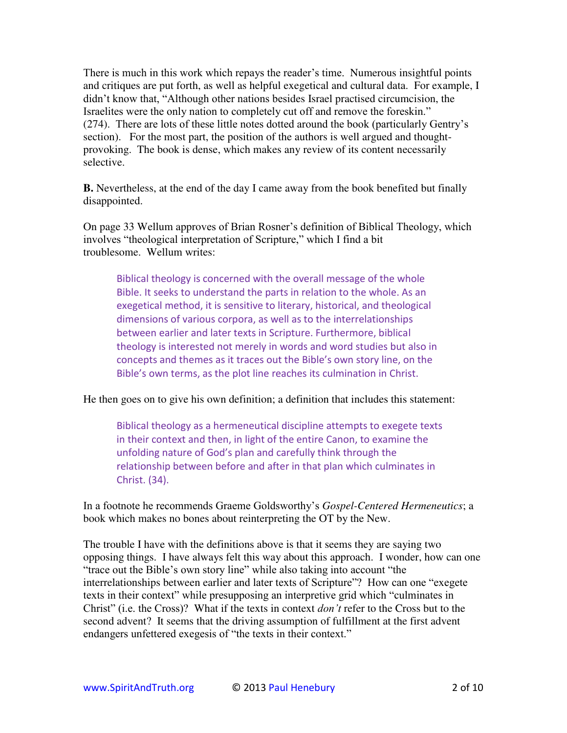There is much in this work which repays the reader's time. Numerous insightful points and critiques are put forth, as well as helpful exegetical and cultural data. For example, I didn't know that, "Although other nations besides Israel practised circumcision, the Israelites were the only nation to completely cut off and remove the foreskin." (274). There are lots of these little notes dotted around the book (particularly Gentry's section). For the most part, the position of the authors is well argued and thoughtprovoking. The book is dense, which makes any review of its content necessarily selective.

**B.** Nevertheless, at the end of the day I came away from the book benefited but finally disappointed.

On page 33 Wellum approves of Brian Rosner's definition of Biblical Theology, which involves "theological interpretation of Scripture," which I find a bit troublesome. Wellum writes:

Biblical theology is concerned with the overall message of the whole Bible. It seeks to understand the parts in relation to the whole. As an exegetical method, it is sensitive to literary, historical, and theological dimensions of various corpora, as well as to the interrelationships between earlier and later texts in Scripture. Furthermore, biblical theology is interested not merely in words and word studies but also in concepts and themes as it traces out the Bible's own story line, on the Bible's own terms, as the plot line reaches its culmination in Christ.

He then goes on to give his own definition; a definition that includes this statement:

Biblical theology as a hermeneutical discipline attempts to exegete texts in their context and then, in light of the entire Canon, to examine the unfolding nature of God's plan and carefully think through the relationship between before and after in that plan which culminates in Christ. (34).

In a footnote he recommends Graeme Goldsworthy's *Gospel-Centered Hermeneutics*; a book which makes no bones about reinterpreting the OT by the New.

The trouble I have with the definitions above is that it seems they are saying two opposing things. I have always felt this way about this approach. I wonder, how can one "trace out the Bible's own story line" while also taking into account "the interrelationships between earlier and later texts of Scripture"? How can one "exegete texts in their context" while presupposing an interpretive grid which "culminates in Christ" (i.e. the Cross)? What if the texts in context *don't* refer to the Cross but to the second advent? It seems that the driving assumption of fulfillment at the first advent endangers unfettered exegesis of "the texts in their context."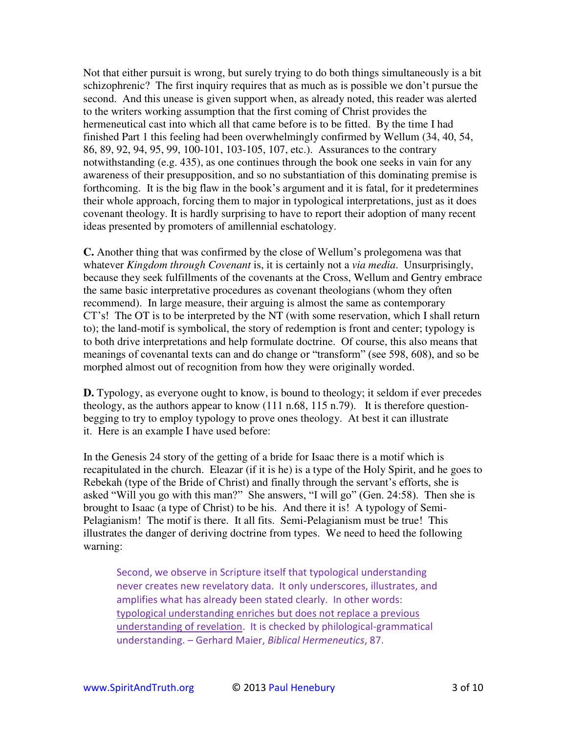Not that either pursuit is wrong, but surely trying to do both things simultaneously is a bit schizophrenic? The first inquiry requires that as much as is possible we don't pursue the second. And this unease is given support when, as already noted, this reader was alerted to the writers working assumption that the first coming of Christ provides the hermeneutical cast into which all that came before is to be fitted. By the time I had finished Part 1 this feeling had been overwhelmingly confirmed by Wellum (34, 40, 54, 86, 89, 92, 94, 95, 99, 100-101, 103-105, 107, etc.). Assurances to the contrary notwithstanding (e.g. 435), as one continues through the book one seeks in vain for any awareness of their presupposition, and so no substantiation of this dominating premise is forthcoming. It is the big flaw in the book's argument and it is fatal, for it predetermines their whole approach, forcing them to major in typological interpretations, just as it does covenant theology. It is hardly surprising to have to report their adoption of many recent ideas presented by promoters of amillennial eschatology.

**C.** Another thing that was confirmed by the close of Wellum's prolegomena was that whatever *Kingdom through Covenant* is, it is certainly not a *via media*. Unsurprisingly, because they seek fulfillments of the covenants at the Cross, Wellum and Gentry embrace the same basic interpretative procedures as covenant theologians (whom they often recommend). In large measure, their arguing is almost the same as contemporary CT's! The OT is to be interpreted by the NT (with some reservation, which I shall return to); the land-motif is symbolical, the story of redemption is front and center; typology is to both drive interpretations and help formulate doctrine. Of course, this also means that meanings of covenantal texts can and do change or "transform" (see 598, 608), and so be morphed almost out of recognition from how they were originally worded.

**D.** Typology, as everyone ought to know, is bound to theology; it seldom if ever precedes theology, as the authors appear to know (111 n.68, 115 n.79). It is therefore questionbegging to try to employ typology to prove ones theology. At best it can illustrate it. Here is an example I have used before:

In the Genesis 24 story of the getting of a bride for Isaac there is a motif which is recapitulated in the church. Eleazar (if it is he) is a type of the Holy Spirit, and he goes to Rebekah (type of the Bride of Christ) and finally through the servant's efforts, she is asked "Will you go with this man?" She answers, "I will go" (Gen. 24:58). Then she is brought to Isaac (a type of Christ) to be his. And there it is! A typology of Semi-Pelagianism! The motif is there. It all fits. Semi-Pelagianism must be true! This illustrates the danger of deriving doctrine from types. We need to heed the following warning:

Second, we observe in Scripture itself that typological understanding never creates new revelatory data. It only underscores, illustrates, and amplifies what has already been stated clearly. In other words: typological understanding enriches but does not replace a previous understanding of revelation. It is checked by philological-grammatical understanding. – Gerhard Maier, *Biblical Hermeneutics*, 87.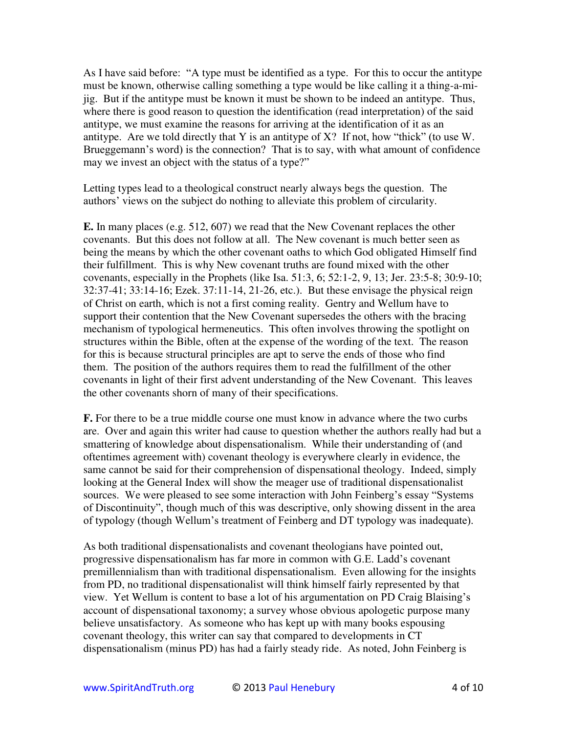As I have said before: "A type must be identified as a type. For this to occur the antitype must be known, otherwise calling something a type would be like calling it a thing-a-mijig. But if the antitype must be known it must be shown to be indeed an antitype. Thus, where there is good reason to question the identification (read interpretation) of the said antitype, we must examine the reasons for arriving at the identification of it as an antitype. Are we told directly that Y is an antitype of X? If not, how "thick" (to use W. Brueggemann's word) is the connection? That is to say, with what amount of confidence may we invest an object with the status of a type?"

Letting types lead to a theological construct nearly always begs the question. The authors' views on the subject do nothing to alleviate this problem of circularity.

**E.** In many places (e.g. 512, 607) we read that the New Covenant replaces the other covenants. But this does not follow at all. The New covenant is much better seen as being the means by which the other covenant oaths to which God obligated Himself find their fulfillment. This is why New covenant truths are found mixed with the other covenants, especially in the Prophets (like Isa. 51:3, 6; 52:1-2, 9, 13; Jer. 23:5-8; 30:9-10; 32:37-41; 33:14-16; Ezek. 37:11-14, 21-26, etc.). But these envisage the physical reign of Christ on earth, which is not a first coming reality. Gentry and Wellum have to support their contention that the New Covenant supersedes the others with the bracing mechanism of typological hermeneutics. This often involves throwing the spotlight on structures within the Bible, often at the expense of the wording of the text. The reason for this is because structural principles are apt to serve the ends of those who find them. The position of the authors requires them to read the fulfillment of the other covenants in light of their first advent understanding of the New Covenant. This leaves the other covenants shorn of many of their specifications.

**F.** For there to be a true middle course one must know in advance where the two curbs are. Over and again this writer had cause to question whether the authors really had but a smattering of knowledge about dispensationalism. While their understanding of (and oftentimes agreement with) covenant theology is everywhere clearly in evidence, the same cannot be said for their comprehension of dispensational theology. Indeed, simply looking at the General Index will show the meager use of traditional dispensationalist sources. We were pleased to see some interaction with John Feinberg's essay "Systems of Discontinuity", though much of this was descriptive, only showing dissent in the area of typology (though Wellum's treatment of Feinberg and DT typology was inadequate).

As both traditional dispensationalists and covenant theologians have pointed out, progressive dispensationalism has far more in common with G.E. Ladd's covenant premillennialism than with traditional dispensationalism. Even allowing for the insights from PD, no traditional dispensationalist will think himself fairly represented by that view. Yet Wellum is content to base a lot of his argumentation on PD Craig Blaising's account of dispensational taxonomy; a survey whose obvious apologetic purpose many believe unsatisfactory. As someone who has kept up with many books espousing covenant theology, this writer can say that compared to developments in CT dispensationalism (minus PD) has had a fairly steady ride. As noted, John Feinberg is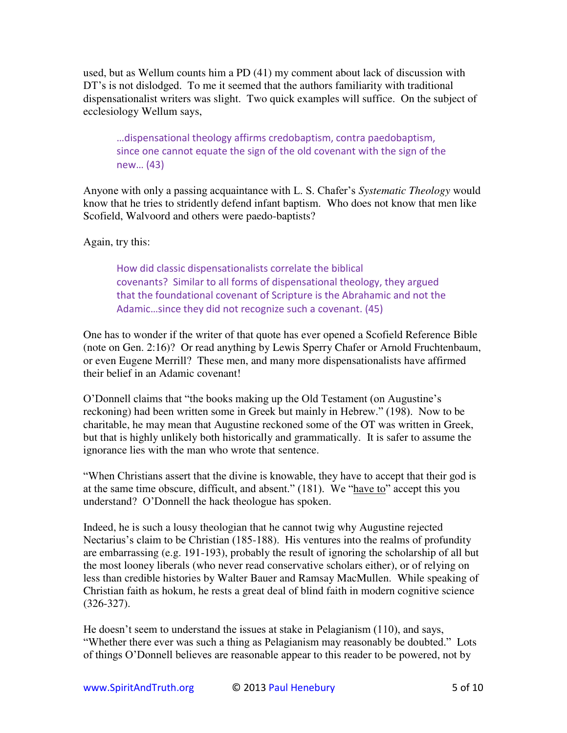used, but as Wellum counts him a PD (41) my comment about lack of discussion with DT's is not dislodged. To me it seemed that the authors familiarity with traditional dispensationalist writers was slight. Two quick examples will suffice. On the subject of ecclesiology Wellum says,

...dispensational theology affirms credobaptism, contra paedobaptism, since one cannot equate the sign of the old covenant with the sign of the  $new... (43)$ 

Anyone with only a passing acquaintance with L. S. Chafer's *Systematic Theology* would know that he tries to stridently defend infant baptism. Who does not know that men like Scofield, Walvoord and others were paedo-baptists?

Again, try this:

How did classic dispensationalists correlate the biblical covenants? Similar to all forms of dispensational theology, they argued that the foundational covenant of Scripture is the Abrahamic and not the Adamic...since they did not recognize such a covenant. (45)

One has to wonder if the writer of that quote has ever opened a Scofield Reference Bible (note on Gen. 2:16)? Or read anything by Lewis Sperry Chafer or Arnold Fruchtenbaum, or even Eugene Merrill? These men, and many more dispensationalists have affirmed their belief in an Adamic covenant!

O'Donnell claims that "the books making up the Old Testament (on Augustine's reckoning) had been written some in Greek but mainly in Hebrew." (198). Now to be charitable, he may mean that Augustine reckoned some of the OT was written in Greek, but that is highly unlikely both historically and grammatically. It is safer to assume the ignorance lies with the man who wrote that sentence.

"When Christians assert that the divine is knowable, they have to accept that their god is at the same time obscure, difficult, and absent." (181). We "have to" accept this you understand? O'Donnell the hack theologue has spoken.

Indeed, he is such a lousy theologian that he cannot twig why Augustine rejected Nectarius's claim to be Christian (185-188). His ventures into the realms of profundity are embarrassing (e.g. 191-193), probably the result of ignoring the scholarship of all but the most looney liberals (who never read conservative scholars either), or of relying on less than credible histories by Walter Bauer and Ramsay MacMullen. While speaking of Christian faith as hokum, he rests a great deal of blind faith in modern cognitive science (326-327).

He doesn't seem to understand the issues at stake in Pelagianism (110), and says, "Whether there ever was such a thing as Pelagianism may reasonably be doubted." Lots of things O'Donnell believes are reasonable appear to this reader to be powered, not by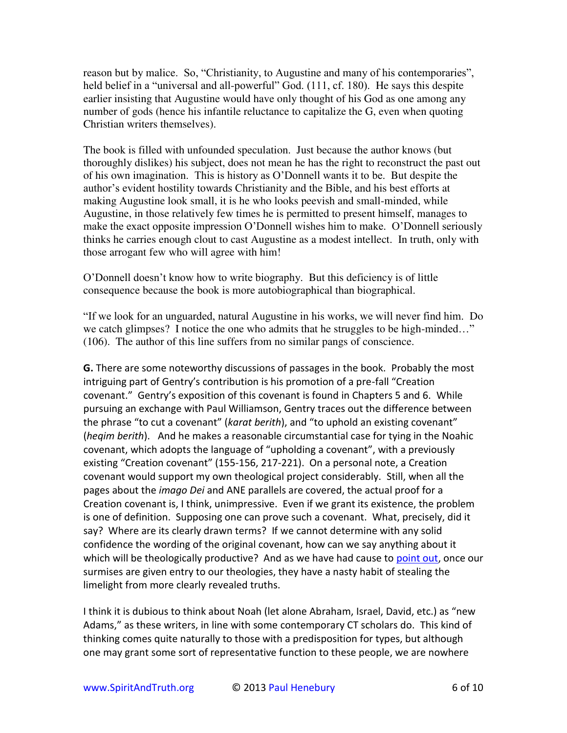reason but by malice. So, "Christianity, to Augustine and many of his contemporaries", held belief in a "universal and all-powerful" God. (111, cf. 180). He says this despite earlier insisting that Augustine would have only thought of his God as one among any number of gods (hence his infantile reluctance to capitalize the G, even when quoting Christian writers themselves).

The book is filled with unfounded speculation. Just because the author knows (but thoroughly dislikes) his subject, does not mean he has the right to reconstruct the past out of his own imagination. This is history as O'Donnell wants it to be. But despite the author's evident hostility towards Christianity and the Bible, and his best efforts at making Augustine look small, it is he who looks peevish and small-minded, while Augustine, in those relatively few times he is permitted to present himself, manages to make the exact opposite impression O'Donnell wishes him to make. O'Donnell seriously thinks he carries enough clout to cast Augustine as a modest intellect. In truth, only with those arrogant few who will agree with him!

O'Donnell doesn't know how to write biography. But this deficiency is of little consequence because the book is more autobiographical than biographical.

"If we look for an unguarded, natural Augustine in his works, we will never find him. Do we catch glimpses? I notice the one who admits that he struggles to be high-minded…" (106). The author of this line suffers from no similar pangs of conscience.

**G.** There are some noteworthy discussions of passages in the book. Probably the most intriguing part of Gentry's contribution is his promotion of a pre-fall "Creation covenant." Gentry's exposition of this covenant is found in Chapters 5 and 6. While pursuing an exchange with Paul Williamson, Gentry traces out the difference between the phrase "to cut a covenant" (karat berith), and "to uphold an existing covenant" (*heqim berith*). And he makes a reasonable circumstantial case for tying in the Noahic covenant, which adopts the language of "upholding a covenant", with a previously existing "Creation covenant" (155-156, 217-221). On a personal note, a Creation covenant would support my own theological project considerably. Still, when all the pages about the *imago Dei* and ANE parallels are covered, the actual proof for a Creation covenant is, I think, unimpressive. Even if we grant its existence, the problem is one of definition. Supposing one can prove such a covenant. What, precisely, did it say? Where are its clearly drawn terms? If we cannot determine with any solid confidence the wording of the original covenant, how can we say anything about it which will be theologically productive? And as we have had cause to [point out,](http://drreluctant.wordpress.com/2012/04/03/rules-of-affinity/) once our surmises are given entry to our theologies, they have a nasty habit of stealing the limelight from more clearly revealed truths.

I think it is dubious to think about Noah (let alone Abraham, Israel, David, etc.) as "new Adams," as these writers, in line with some contemporary CT scholars do. This kind of thinking comes quite naturally to those with a predisposition for types, but although one may grant some sort of representative function to these people, we are nowhere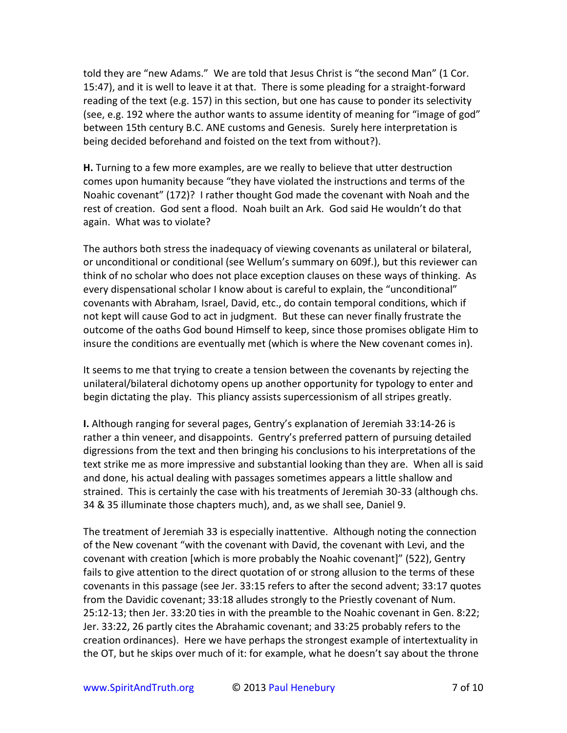told they are "new Adams." We are told that Jesus Christ is "the second Man" (1 Cor. 15:47), and it is well to leave it at that. There is some pleading for a straight-forward reading of the text (e.g. 157) in this section, but one has cause to ponder its selectivity (see, e.g. 192 where the author wants to assume identity of meaning for "image of god" between 15th century B.C. ANE customs and Genesis. Surely here interpretation is being decided beforehand and foisted on the text from without?).

H. Turning to a few more examples, are we really to believe that utter destruction comes upon humanity because "they have violated the instructions and terms of the Noahic covenant" (172)? I rather thought God made the covenant with Noah and the rest of creation. God sent a flood. Noah built an Ark. God said He wouldn't do that again. What was to violate?

The authors both stress the inadequacy of viewing covenants as unilateral or bilateral, or unconditional or conditional (see Wellum's summary on 609f.), but this reviewer can think of no scholar who does not place exception clauses on these ways of thinking. As every dispensational scholar I know about is careful to explain, the "unconditional" covenants with Abraham, Israel, David, etc., do contain temporal conditions, which if not kept will cause God to act in judgment. But these can never finally frustrate the outcome of the oaths God bound Himself to keep, since those promises obligate Him to insure the conditions are eventually met (which is where the New covenant comes in).

It seems to me that trying to create a tension between the covenants by rejecting the unilateral/bilateral dichotomy opens up another opportunity for typology to enter and begin dictating the play. This pliancy assists supercessionism of all stripes greatly.

I. Although ranging for several pages, Gentry's explanation of Jeremiah 33:14-26 is rather a thin veneer, and disappoints. Gentry's preferred pattern of pursuing detailed digressions from the text and then bringing his conclusions to his interpretations of the text strike me as more impressive and substantial looking than they are. When all is said and done, his actual dealing with passages sometimes appears a little shallow and strained. This is certainly the case with his treatments of Jeremiah 30-33 (although chs. 34 & 35 illuminate those chapters much), and, as we shall see, Daniel 9.

The treatment of Jeremiah 33 is especially inattentive. Although noting the connection of the New covenant "with the covenant with David, the covenant with Levi, and the covenant with creation [which is more probably the Noahic covenant]" (522), Gentry fails to give attention to the direct quotation of or strong allusion to the terms of these covenants in this passage (see Jer. 33:15 refers to after the second advent; 33:17 quotes from the Davidic covenant; 33:18 alludes strongly to the Priestly covenant of Num. 25:12-13; then Jer. 33:20 ties in with the preamble to the Noahic covenant in Gen. 8:22; Jer. 33:22, 26 partly cites the Abrahamic covenant; and 33:25 probably refers to the creation ordinances). Here we have perhaps the strongest example of intertextuality in the OT, but he skips over much of it: for example, what he doesn't say about the throne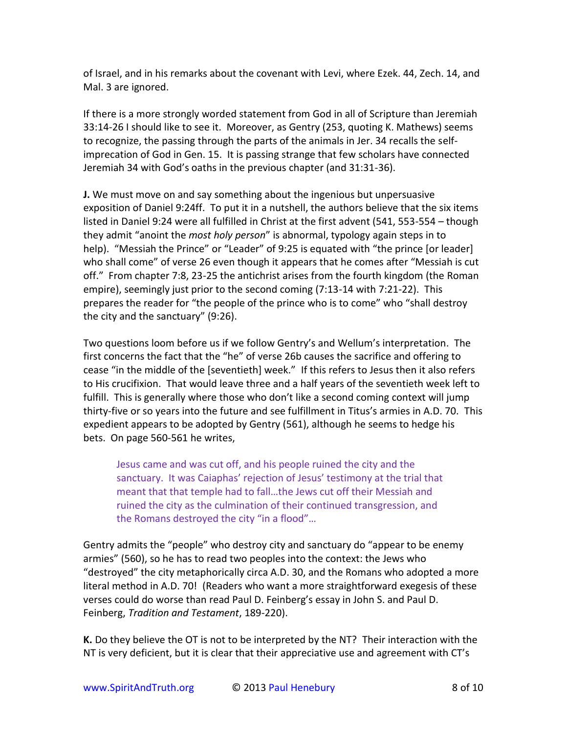of Israel, and in his remarks about the covenant with Levi, where Ezek. 44, Zech. 14, and Mal. 3 are ignored.

If there is a more strongly worded statement from God in all of Scripture than Jeremiah 33:14-26 I should like to see it. Moreover, as Gentry (253, quoting K. Mathews) seems to recognize, the passing through the parts of the animals in Jer. 34 recalls the selfimprecation of God in Gen. 15. It is passing strange that few scholars have connected Jeremiah 34 with God's oaths in the previous chapter (and 31:31-36).

J. We must move on and say something about the ingenious but unpersuasive exposition of Daniel 9:24ff. To put it in a nutshell, the authors believe that the six items listed in Daniel 9:24 were all fulfilled in Christ at the first advent (541, 553-554 - though they admit "anoint the *most holy person*" is abnormal, typology again steps in to help). "Messiah the Prince" or "Leader" of 9:25 is equated with "the prince [or leader] who shall come" of verse 26 even though it appears that he comes after "Messiah is cut off." From chapter 7:8, 23-25 the antichrist arises from the fourth kingdom (the Roman empire), seemingly just prior to the second coming (7:13-14 with 7:21-22). This prepares the reader for "the people of the prince who is to come" who "shall destroy the city and the sanctuary" (9:26).

Two questions loom before us if we follow Gentry's and Wellum's interpretation. The first concerns the fact that the "he" of verse 26b causes the sacrifice and offering to cease "in the middle of the [seventieth] week." If this refers to Jesus then it also refers to His crucifixion. That would leave three and a half years of the seventieth week left to fulfill. This is generally where those who don't like a second coming context will jump thirty-five or so years into the future and see fulfillment in Titus's armies in A.D. 70. This expedient appears to be adopted by Gentry (561), although he seems to hedge his bets. On page 560-561 he writes,

Jesus came and was cut off, and his people ruined the city and the sanctuary. It was Caiaphas' rejection of Jesus' testimony at the trial that meant that that temple had to fall...the Jews cut off their Messiah and ruined the city as the culmination of their continued transgression, and the Romans destroyed the city "in a flood"...

Gentry admits the "people" who destroy city and sanctuary do "appear to be enemy armies" (560), so he has to read two peoples into the context: the Jews who "destroyed" the city metaphorically circa A.D. 30, and the Romans who adopted a more literal method in A.D. 70! (Readers who want a more straightforward exegesis of these verses could do worse than read Paul D. Feinberg's essay in John S. and Paul D. Feinberg, Tradition and Testament, 189-220).

K. Do they believe the OT is not to be interpreted by the NT? Their interaction with the NT is very deficient, but it is clear that their appreciative use and agreement with CT's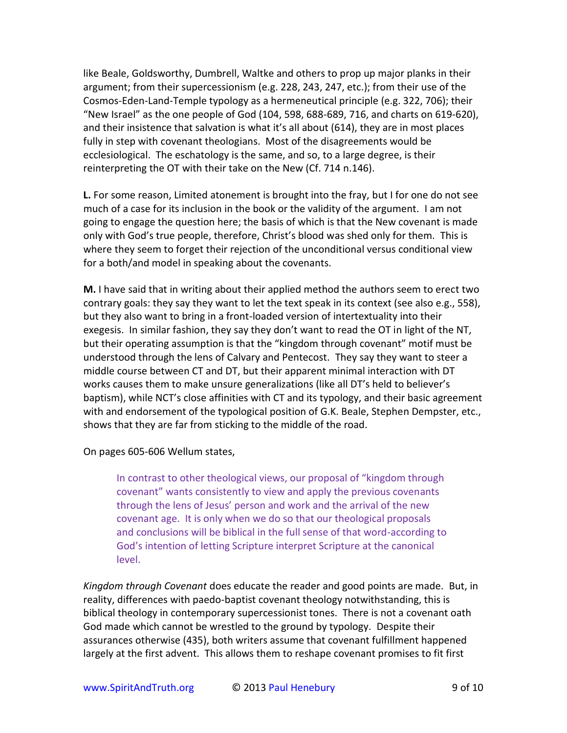like Beale, Goldsworthy, Dumbrell, Waltke and others to prop up major planks in their argument; from their supercessionism (e.g. 228, 243, 247, etc.); from their use of the Cosmos-Eden-Land-Temple typology as a hermeneutical principle (e.g. 322, 706); their "New Israel" as the one people of God (104, 598, 688-689, 716, and charts on 619-620), and their insistence that salvation is what it's all about (614), they are in most places fully in step with covenant theologians. Most of the disagreements would be ecclesiological. The eschatology is the same, and so, to a large degree, is their reinterpreting the OT with their take on the New (Cf. 714 n.146).

L. For some reason, Limited atonement is brought into the fray, but I for one do not see much of a case for its inclusion in the book or the validity of the argument. I am not going to engage the question here; the basis of which is that the New covenant is made only with God's true people, therefore, Christ's blood was shed only for them. This is where they seem to forget their rejection of the unconditional versus conditional view for a both/and model in speaking about the covenants.

M. I have said that in writing about their applied method the authors seem to erect two contrary goals: they say they want to let the text speak in its context (see also e.g., 558), but they also want to bring in a front-loaded version of intertextuality into their exegesis. In similar fashion, they say they don't want to read the OT in light of the NT, but their operating assumption is that the "kingdom through covenant" motif must be understood through the lens of Calvary and Pentecost. They say they want to steer a middle course between CT and DT, but their apparent minimal interaction with DT works causes them to make unsure generalizations (like all DT's held to believer's baptism), while NCT's close affinities with CT and its typology, and their basic agreement with and endorsement of the typological position of G.K. Beale, Stephen Dempster, etc., shows that they are far from sticking to the middle of the road.

On pages 605-606 Wellum states,

In contrast to other theological views, our proposal of "kingdom through covenant" wants consistently to view and apply the previous covenants through the lens of Jesus' person and work and the arrival of the new covenant age. It is only when we do so that our theological proposals and conclusions will be biblical in the full sense of that word-according to God's intention of letting Scripture interpret Scripture at the canonical level.

Kingdom through Covenant does educate the reader and good points are made. But, in reality, differences with paedo-baptist covenant theology notwithstanding, this is biblical theology in contemporary supercessionist tones. There is not a covenant oath God made which cannot be wrestled to the ground by typology. Despite their assurances otherwise (435), both writers assume that covenant fulfillment happened largely at the first advent. This allows them to reshape covenant promises to fit first